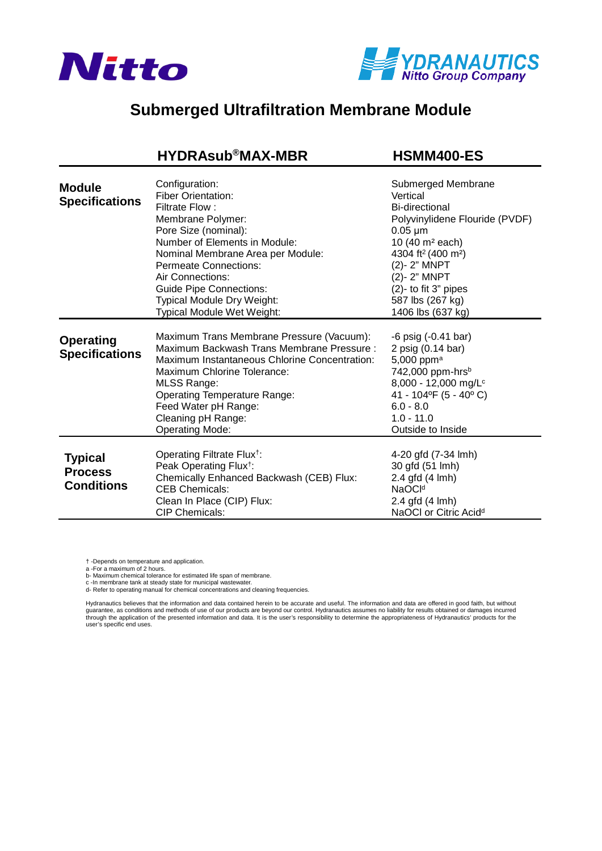



## **Submerged Ultrafiltration Membrane Module**

## **[HYDRAsub®MAX-MBR HSMM400-ES](https://www.pureaqua.com/hydrasubmax-hsmm400-es-membrane/)**

| <b>Module</b><br><b>Specifications</b>                | Configuration:<br><b>Fiber Orientation:</b><br>Filtrate Flow:<br>Membrane Polymer:<br>Pore Size (nominal):<br>Number of Elements in Module:<br>Nominal Membrane Area per Module:<br><b>Permeate Connections:</b><br>Air Connections:<br><b>Guide Pipe Connections:</b><br>Typical Module Dry Weight:<br><b>Typical Module Wet Weight:</b> | Submerged Membrane<br>Vertical<br>Bi-directional<br>Polyvinylidene Flouride (PVDF)<br>$0.05 \mu m$<br>10 (40 m <sup>2</sup> each)<br>4304 ft <sup>2</sup> (400 m <sup>2</sup> )<br>(2)-2" MNPT<br>(2)-2" MNPT<br>(2)- to fit 3" pipes<br>587 lbs (267 kg)<br>1406 lbs (637 kg) |
|-------------------------------------------------------|-------------------------------------------------------------------------------------------------------------------------------------------------------------------------------------------------------------------------------------------------------------------------------------------------------------------------------------------|--------------------------------------------------------------------------------------------------------------------------------------------------------------------------------------------------------------------------------------------------------------------------------|
| <b>Operating</b><br><b>Specifications</b>             | Maximum Trans Membrane Pressure (Vacuum):<br>Maximum Backwash Trans Membrane Pressure:<br>Maximum Instantaneous Chlorine Concentration:<br>Maximum Chlorine Tolerance:<br><b>MLSS Range:</b><br><b>Operating Temperature Range:</b><br>Feed Water pH Range:<br>Cleaning pH Range:<br><b>Operating Mode:</b>                               | -6 psig (-0.41 bar)<br>2 psig (0.14 bar)<br>5,000 ppm <sup>a</sup><br>742,000 ppm-hrsb<br>8,000 - 12,000 mg/L <sup>c</sup><br>41 - 104°F (5 - 40°C)<br>$6.0 - 8.0$<br>$1.0 - 11.0$<br>Outside to Inside                                                                        |
| <b>Typical</b><br><b>Process</b><br><b>Conditions</b> | Operating Filtrate Flux <sup>†</sup> :<br>Peak Operating Flux <sup>†</sup> :<br>Chemically Enhanced Backwash (CEB) Flux:<br><b>CEB Chemicals:</b><br>Clean In Place (CIP) Flux:<br><b>CIP Chemicals:</b>                                                                                                                                  | 4-20 gfd (7-34 lmh)<br>30 gfd (51 lmh)<br>2.4 gfd (4 lmh)<br>NaOC <sup>Id</sup><br>2.4 gfd (4 lmh)<br>NaOCI or Citric Acid <sup>d</sup>                                                                                                                                        |

† -Depends on temperature and application.

a -For a maximum of 2 hours.

b- Maximum chemical tolerance for estimated life span of membrane.

c -In membrane tank at steady state for municipal wastewater. d- Refer to operating manual for chemical concentrations and cleaning frequencies.

Hydranautics believes that the information and data contained herein to be accurate and useful. The information and data are offered in good faith, but without<br>guarantee, as conditions and methods of use of our products ar through the application of the presented information and data. It is the user's responsibility to determine the appropriateness of Hydranautics' products for the user's specific end uses.